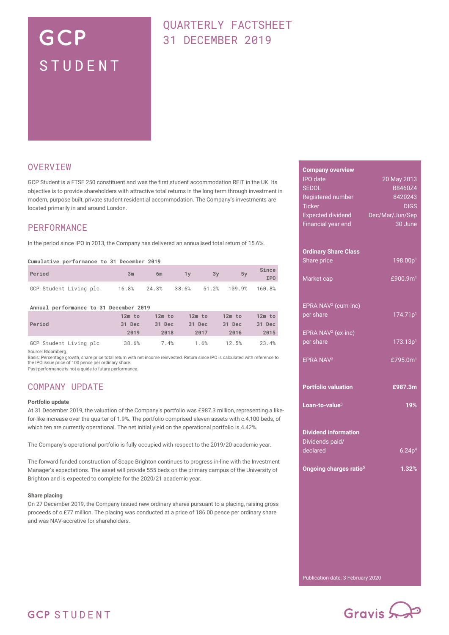# GCP STUDENT

# QUARTERLY FACTSHEET 31 DECEMBER 2019

### **OVERVIEW**

GCP Student is a FTSE 250 constituent and was the first student accommodation REIT in the UK. Its objective is to provide shareholders with attractive total returns in the long term through investment in modern, purpose built, private student residential accommodation. The Company's investments are located primarily in and around London.

### **PERFORMANCE**

In the period since IPO in 2013, the Company has delivered an annualised total return of 15.6%.

#### **Cumulative performance to 31 December 2019**

| Period                 | 3m | 6m                             | 1v | 3v | 5v | Since<br>IP <sub>0</sub> |
|------------------------|----|--------------------------------|----|----|----|--------------------------|
| GCP Student Living plc |    | 16.8% 24.3% 38.6% 51.2% 109.9% |    |    |    | 160.8%                   |

#### **Annual performance to 31 December 2019**

|                        | $12m$ to | $12m$ to | $12m$ to | $12m$ to | $12m$ to |
|------------------------|----------|----------|----------|----------|----------|
| Period                 | 31 Dec   | 31 Dec   | 31 Dec   | 31 Dec   | 31 Dec   |
|                        | 2019     | 2018     | 2017     | 2016     | 2015     |
| GCP Student Living plc | 38.6%    | 7.4%     | 1.6%     | 12.5%    | 23.4%    |

Source: Bloomberg.

Basis: Percentage growth, share price total return with net income reinvested. Return since IPO is calculated with reference to the IPO issue price of 100 pence per ordinary share.

Past performance is not a guide to future performance.

### COMPANY UPDATE

#### **Portfolio update**

At 31 December 2019, the valuation of the Company's portfolio was £987.3 million, representing a likefor-like increase over the quarter of 1.9%. The portfolio comprised eleven assets with c.4,100 beds, of which ten are currently operational. The net initial yield on the operational portfolio is 4.42%.

The Company's operational portfolio is fully occupied with respect to the 2019/20 academic year.

The forward funded construction of Scape Brighton continues to progress in-line with the Investment Manager's expectations. The asset will provide 555 beds on the primary campus of the University of Brighton and is expected to complete for the 2020/21 academic year.

#### **Share placing**

On 27 December 2019, the Company issued new ordinary shares pursuant to a placing, raising gross proceeds of c.£77 million. The placing was conducted at a price of 186.00 pence per ordinary share and was NAV-accretive for shareholders.

| <b>Company overview</b>                        |                      |
|------------------------------------------------|----------------------|
| <b>IPO</b> date                                | 20 May 2013          |
| <b>SEDOL</b>                                   | B8460Z4              |
| Registered number                              | 8420243              |
| <b>Ticker</b>                                  | <b>DIGS</b>          |
| <b>Expected dividend</b>                       | Dec/Mar/Jun/Sep      |
| Financial year end                             | 30 June              |
|                                                |                      |
| <b>Ordinary Share Class</b>                    |                      |
| Share price                                    | 198.00p <sup>1</sup> |
|                                                |                      |
| Market cap                                     | £900.9m <sup>1</sup> |
|                                                |                      |
|                                                |                      |
| EPRA NAV <sup>2</sup> (cum-inc)                |                      |
| per share                                      | 174.71p <sup>1</sup> |
|                                                |                      |
| EPRA NAV <sup>2</sup> (ex-inc)                 |                      |
| per share                                      | 173.13p <sup>1</sup> |
| EPRA NAV <sup>2</sup>                          | £795.0 $m1$          |
|                                                |                      |
|                                                |                      |
| <b>Portfolio valuation</b>                     | £987.3m              |
|                                                |                      |
| Loan-to-value <sup>3</sup>                     | 19%                  |
|                                                |                      |
|                                                |                      |
| <b>Dividend information</b><br>Dividends paid/ |                      |
| declared                                       | 6.24p <sup>4</sup>   |
|                                                |                      |
| Ongoing charges ratio <sup>5</sup>             | 1.32%                |
|                                                |                      |
|                                                |                      |
|                                                |                      |
|                                                |                      |
|                                                |                      |
|                                                |                      |
|                                                |                      |
|                                                |                      |
|                                                |                      |
|                                                |                      |





# **GCP STUDENT**